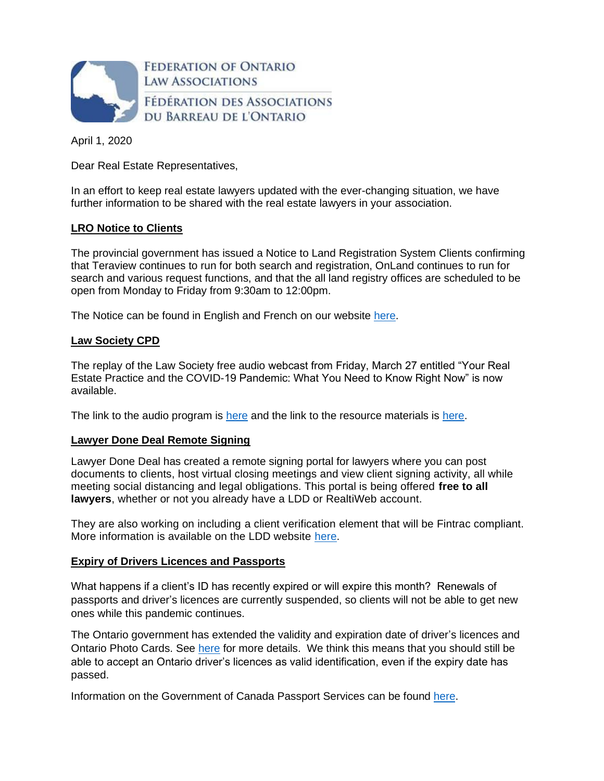

April 1, 2020

Dear Real Estate Representatives,

In an effort to keep real estate lawyers updated with the ever-changing situation, we have further information to be shared with the real estate lawyers in your association.

# **LRO Notice to Clients**

The provincial government has issued a Notice to Land Registration System Clients confirming that Teraview continues to run for both search and registration, OnLand continues to run for search and various request functions, and that the all land registry offices are scheduled to be open from Monday to Friday from 9:30am to 12:00pm.

The Notice can be found in English and French on our website [here.](https://fola.ca/real-estate-law)

# **Law Society CPD**

The replay of the Law Society free audio webcast from Friday, March 27 entitled "Your Real Estate Practice and the COVID-19 Pandemic: What You Need to Know Right Now" is now available.

The link to the audio program is [here](https://lso.freestonelms.com/viewer/daZTRe44gTJnF47tWHrh8Wmnn9ECbE1paTpP8S4KwcD7S) and the link to the resource materials is [here.](http://e1.envoke.com/ct/3897/2094951/744076547/cb688ccf5ae234509fb55ee155502428)

## **Lawyer Done Deal Remote Signing**

Lawyer Done Deal has created a remote signing portal for lawyers where you can post documents to clients, host virtual closing meetings and view client signing activity, all while meeting social distancing and legal obligations. This portal is being offered **free to all lawyers**, whether or not you already have a LDD or RealtiWeb account.

They are also working on including a client verification element that will be Fintrac compliant. More information is available on the LDD website [here.](https://www.ldd.ca/ldd-remote-signing)

## **Expiry of Drivers Licences and Passports**

What happens if a client's ID has recently expired or will expire this month? Renewals of passports and driver's licences are currently suspended, so clients will not be able to get new ones while this pandemic continues.

The Ontario government has extended the validity and expiration date of driver's licences and Ontario Photo Cards. See [here](https://www.ontario.ca/page/extended-validation-periods) for more details. We think this means that you should still be able to accept an Ontario driver's licences as valid identification, even if the expiry date has passed.

Information on the Government of Canada Passport Services can be found [here.](https://www.canada.ca/en/immigration-refugees-citizenship/services/canadian-passports.html)